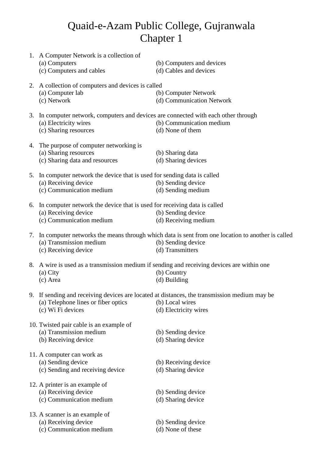## Quaid-e-Azam Public College, Gujranwala Chapter 1

|    | 1. A Computer Network is a collection of<br>(a) Computers<br>(c) Computers and cables                                                 | (b) Computers and devices<br>(d) Cables and devices                                                                                           |
|----|---------------------------------------------------------------------------------------------------------------------------------------|-----------------------------------------------------------------------------------------------------------------------------------------------|
|    | 2. A collection of computers and devices is called<br>(a) Computer lab<br>(c) Network                                                 | (b) Computer Network<br>(d) Communication Network                                                                                             |
|    | 3. In computer network, computers and devices are connected with each other through<br>(a) Electricity wires<br>(c) Sharing resources | (b) Communication medium<br>(d) None of them                                                                                                  |
|    | 4. The purpose of computer networking is<br>(a) Sharing resources<br>(c) Sharing data and resources                                   | (b) Sharing data<br>(d) Sharing devices                                                                                                       |
|    | 5. In computer network the device that is used for sending data is called<br>(a) Receiving device<br>(c) Communication medium         | (b) Sending device<br>(d) Sending medium                                                                                                      |
|    | 6. In computer network the device that is used for receiving data is called<br>(a) Receiving device<br>(c) Communication medium       | (b) Sending device<br>(d) Receiving medium                                                                                                    |
|    | (a) Transmission medium<br>(c) Receiving device                                                                                       | 7. In computer networks the means through which data is sent from one location to another is called<br>(b) Sending device<br>(d) Transmitters |
| 8. | A wire is used as a transmission medium if sending and receiving devices are within one<br>(a) City<br>(c) Area                       | (b) Country<br>(d) Building                                                                                                                   |
|    | (a) Telephone lines or fiber optics<br>(c) Wi Fi devices                                                                              | 9. If sending and receiving devices are located at distances, the transmission medium may be<br>(b) Local wires<br>(d) Electricity wires      |
|    | 10. Twisted pair cable is an example of<br>(a) Transmission medium<br>(b) Receiving device                                            | (b) Sending device<br>(d) Sharing device                                                                                                      |
|    | 11. A computer can work as<br>(a) Sending device<br>(c) Sending and receiving device                                                  | (b) Receiving device<br>(d) Sharing device                                                                                                    |
|    | 12. A printer is an example of<br>(a) Receiving device<br>(c) Communication medium                                                    | (b) Sending device<br>(d) Sharing device                                                                                                      |
|    | 13. A scanner is an example of<br>(a) Receiving device<br>(c) Communication medium                                                    | (b) Sending device<br>(d) None of these                                                                                                       |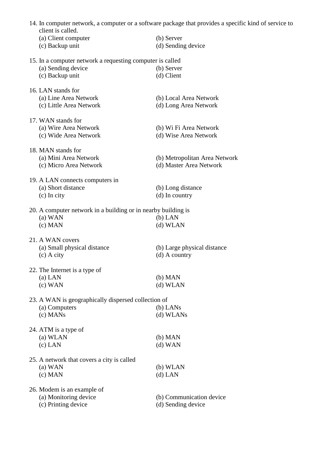| client is called.                                             | 14. In computer network, a computer or a software package that provides a specific kind of service to |
|---------------------------------------------------------------|-------------------------------------------------------------------------------------------------------|
| (a) Client computer                                           | (b) Server                                                                                            |
| (c) Backup unit                                               | (d) Sending device                                                                                    |
| 15. In a computer network a requesting computer is called     |                                                                                                       |
| (a) Sending device                                            | (b) Server                                                                                            |
| (c) Backup unit                                               | (d) Client                                                                                            |
| 16. LAN stands for                                            |                                                                                                       |
| (a) Line Area Network                                         | (b) Local Area Network                                                                                |
| (c) Little Area Network                                       | (d) Long Area Network                                                                                 |
| 17. WAN stands for                                            |                                                                                                       |
| (a) Wire Area Network                                         | (b) Wi Fi Area Network                                                                                |
| (c) Wide Area Network                                         | (d) Wise Area Network                                                                                 |
| 18. MAN stands for                                            |                                                                                                       |
| (a) Mini Area Network                                         | (b) Metropolitan Area Network                                                                         |
| (c) Micro Area Network                                        | (d) Master Area Network                                                                               |
| 19. A LAN connects computers in                               |                                                                                                       |
| (a) Short distance                                            | (b) Long distance                                                                                     |
| $(c)$ In city                                                 | $(d)$ In country                                                                                      |
| 20. A computer network in a building or in nearby building is |                                                                                                       |
| $(a)$ WAN                                                     | $(b)$ LAN                                                                                             |
| $(c)$ MAN                                                     | (d) WLAN                                                                                              |
| 21. A WAN covers                                              |                                                                                                       |
| (a) Small physical distance                                   | (b) Large physical distance                                                                           |
| $(c)$ A city                                                  | $(d)$ A country                                                                                       |
| 22. The Internet is a type of                                 |                                                                                                       |
| $(a)$ LAN                                                     | $(b)$ MAN                                                                                             |
| $(c)$ WAN                                                     | (d) WLAN                                                                                              |
| 23. A WAN is geographically dispersed collection of           |                                                                                                       |
| (a) Computers                                                 | $(b)$ LANs                                                                                            |
| (c) MANs                                                      | (d) WLANs                                                                                             |
| 24. ATM is a type of                                          |                                                                                                       |
| (a) WLAN                                                      | $(b)$ MAN                                                                                             |
| $(c)$ LAN                                                     | $(d)$ WAN                                                                                             |
| 25. A network that covers a city is called                    |                                                                                                       |
| $(a)$ WAN                                                     | (b) WLAN                                                                                              |
| $(c)$ MAN                                                     | $(d)$ LAN                                                                                             |
| 26. Modem is an example of                                    |                                                                                                       |
|                                                               |                                                                                                       |
| (a) Monitoring device<br>(c) Printing device                  | (b) Communication device<br>(d) Sending device                                                        |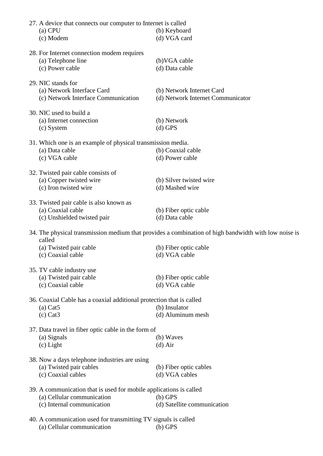| 27. A device that connects our computer to Internet is called<br>$(a)$ CPU<br>(c) Modem                                        | (b) Keyboard<br>(d) VGA card                                                                         |
|--------------------------------------------------------------------------------------------------------------------------------|------------------------------------------------------------------------------------------------------|
| 28. For Internet connection modem requires<br>(a) Telephone line<br>(c) Power cable                                            | (b) VGA cable<br>(d) Data cable                                                                      |
| 29. NIC stands for<br>(a) Network Interface Card<br>(c) Network Interface Communication                                        | (b) Network Internet Card<br>(d) Network Internet Communicator                                       |
| 30. NIC used to build a<br>(a) Internet connection<br>(c) System                                                               | (b) Network<br>$(d)$ GPS                                                                             |
| 31. Which one is an example of physical transmission media.<br>(a) Data cable<br>(c) VGA cable                                 | (b) Coaxial cable<br>(d) Power cable                                                                 |
| 32. Twisted pair cable consists of<br>(a) Copper twisted wire<br>(c) Iron twisted wire                                         | (b) Silver twisted wire<br>(d) Mashed wire                                                           |
| 33. Twisted pair cable is also known as<br>(a) Coaxial cable<br>(c) Unshielded twisted pair                                    | (b) Fiber optic cable<br>(d) Data cable                                                              |
|                                                                                                                                | 34. The physical transmission medium that provides a combination of high bandwidth with low noise is |
| called<br>(a) Twisted pair cable<br>(c) Coaxial cable                                                                          | (b) Fiber optic cable<br>(d) VGA cable                                                               |
| 35. TV cable industry use<br>(a) Twisted pair cable<br>(c) Coaxial cable                                                       | (b) Fiber optic cable<br>(d) VGA cable                                                               |
| 36. Coaxial Cable has a coaxial additional protection that is called<br>$(a)$ Cat <sub>5</sub><br>$(c)$ Cat <sub>3</sub>       | (b) Insulator<br>(d) Aluminum mesh                                                                   |
| 37. Data travel in fiber optic cable in the form of<br>(a) Signals<br>$(c)$ Light                                              | (b) Waves<br>$(d)$ Air                                                                               |
| 38. Now a days telephone industries are using<br>(a) Twisted pair cables<br>(c) Coaxial cables                                 | (b) Fiber optic cables<br>(d) VGA cables                                                             |
| 39. A communication that is used for mobile applications is called<br>(a) Cellular communication<br>(c) Internal communication | $(b)$ GPS<br>(d) Satellite communication                                                             |
| 40. A communication used for transmitting TV signals is called<br>(a) Cellular communication                                   | $(b)$ GPS                                                                                            |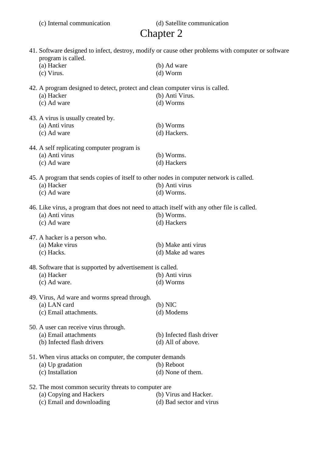|  | (c) Internal communication |
|--|----------------------------|
|  |                            |

(d) Satellite communication

## Chapter 2

| 41. Software designed to infect, destroy, modify or cause other problems with computer or software<br>program is called. |                                                                                              |                           |  |
|--------------------------------------------------------------------------------------------------------------------------|----------------------------------------------------------------------------------------------|---------------------------|--|
|                                                                                                                          | (a) Hacker                                                                                   | (b) Ad ware               |  |
|                                                                                                                          | (c) Virus.                                                                                   | $(d)$ Worm                |  |
|                                                                                                                          |                                                                                              |                           |  |
|                                                                                                                          | 42. A program designed to detect, protect and clean computer virus is called.                |                           |  |
|                                                                                                                          | (a) Hacker                                                                                   | (b) Anti Virus.           |  |
|                                                                                                                          | (c) Ad ware                                                                                  | (d) Worms                 |  |
|                                                                                                                          | 43. A virus is usually created by.                                                           |                           |  |
|                                                                                                                          | (a) Anti virus                                                                               | (b) Worms                 |  |
|                                                                                                                          | (c) Ad ware                                                                                  | (d) Hackers.              |  |
|                                                                                                                          |                                                                                              |                           |  |
|                                                                                                                          | 44. A self replicating computer program is                                                   |                           |  |
|                                                                                                                          | (a) Anti virus                                                                               | (b) Worms.                |  |
|                                                                                                                          | (c) Ad ware                                                                                  | (d) Hackers               |  |
|                                                                                                                          | 45. A program that sends copies of itself to other nodes in computer network is called.      |                           |  |
|                                                                                                                          | (a) Hacker                                                                                   | (b) Anti virus            |  |
|                                                                                                                          | (c) Ad ware                                                                                  | (d) Worms.                |  |
|                                                                                                                          |                                                                                              |                           |  |
|                                                                                                                          | 46. Like virus, a program that does not need to attach itself with any other file is called. |                           |  |
|                                                                                                                          | (a) Anti virus                                                                               | (b) Worms.                |  |
|                                                                                                                          | (c) Ad ware                                                                                  | (d) Hackers               |  |
|                                                                                                                          | 47. A hacker is a person who.                                                                |                           |  |
|                                                                                                                          |                                                                                              |                           |  |
|                                                                                                                          | (a) Make virus                                                                               | (b) Make anti virus       |  |
|                                                                                                                          | (c) Hacks.                                                                                   | (d) Make ad wares         |  |
|                                                                                                                          | 48. Software that is supported by advertisement is called.                                   |                           |  |
|                                                                                                                          | (a) Hacker                                                                                   | (b) Anti virus            |  |
|                                                                                                                          | (c) Ad ware.                                                                                 | (d) Worms                 |  |
|                                                                                                                          |                                                                                              |                           |  |
|                                                                                                                          | 49. Virus, Ad ware and worms spread through.                                                 |                           |  |
|                                                                                                                          | (a) LAN card                                                                                 | $(b)$ NIC                 |  |
|                                                                                                                          | (c) Email attachments.                                                                       | (d) Modems                |  |
|                                                                                                                          | 50. A user can receive virus through.                                                        |                           |  |
|                                                                                                                          | (a) Email attachments                                                                        | (b) Infected flash driver |  |
|                                                                                                                          | (b) Infected flash drivers                                                                   | (d) All of above.         |  |
|                                                                                                                          |                                                                                              |                           |  |
|                                                                                                                          | 51. When virus attacks on computer, the computer demands                                     |                           |  |
|                                                                                                                          | (a) Up gradation                                                                             | (b) Reboot                |  |
|                                                                                                                          | (c) Installation                                                                             | (d) None of them.         |  |
|                                                                                                                          |                                                                                              |                           |  |
| 52. The most common security threats to computer are                                                                     |                                                                                              |                           |  |
|                                                                                                                          | (a) Copying and Hackers                                                                      | (b) Virus and Hacker.     |  |
|                                                                                                                          | (c) Email and downloading                                                                    | (d) Bad sector and virus  |  |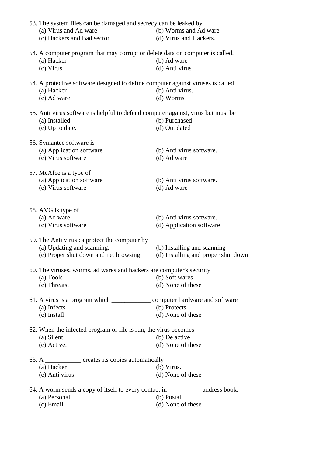| 53. The system files can be damaged and secrecy can be leaked by                 |                                                      |
|----------------------------------------------------------------------------------|------------------------------------------------------|
| (a) Virus and Ad ware                                                            | (b) Worms and Ad ware                                |
| (c) Hackers and Bad sector                                                       | (d) Virus and Hackers.                               |
| 54. A computer program that may corrupt or delete data on computer is called.    |                                                      |
| (a) Hacker                                                                       | (b) Ad ware                                          |
| (c) Virus.                                                                       | (d) Anti virus                                       |
|                                                                                  |                                                      |
| 54. A protective software designed to define computer against viruses is called  |                                                      |
| (a) Hacker                                                                       | (b) Anti virus.                                      |
| (c) Ad ware                                                                      | (d) Worms                                            |
| 55. Anti virus software is helpful to defend computer against, virus but must be |                                                      |
| (a) Installed                                                                    | (b) Purchased                                        |
| (c) Up to date.                                                                  | (d) Out dated                                        |
|                                                                                  |                                                      |
| 56. Symantec software is                                                         |                                                      |
| (a) Application software                                                         | (b) Anti virus software.                             |
| (c) Virus software                                                               | (d) Ad ware                                          |
|                                                                                  |                                                      |
| 57. McAfee is a type of                                                          |                                                      |
| (a) Application software                                                         | (b) Anti virus software.                             |
| (c) Virus software                                                               | (d) Ad ware                                          |
| 58. AVG is type of<br>(a) Ad ware<br>(c) Virus software                          | (b) Anti virus software.<br>(d) Application software |
|                                                                                  |                                                      |
| 59. The Anti virus ca protect the computer by                                    |                                                      |
| (a) Updating and scanning.                                                       | (b) Installing and scanning                          |
| (c) Proper shut down and net browsing                                            | (d) Installing and proper shut down                  |
| 60. The viruses, worms, ad wares and hackers are computer's security             |                                                      |
| (a) Tools                                                                        | (b) Soft wares                                       |
| (c) Threats.                                                                     | (d) None of these                                    |
|                                                                                  |                                                      |
| (a) Infects                                                                      | (b) Protects.                                        |
| (c) Install                                                                      | (d) None of these                                    |
|                                                                                  |                                                      |
| 62. When the infected program or file is run, the virus becomes<br>(a) Silent    | (b) De active                                        |
|                                                                                  |                                                      |
| (c) Active.                                                                      | (d) None of these                                    |
| 63. A _____________ creates its copies automatically                             |                                                      |
| (a) Hacker                                                                       | (b) Virus.                                           |
| (c) Anti virus                                                                   | (d) None of these                                    |
|                                                                                  |                                                      |
|                                                                                  |                                                      |
| (a) Personal                                                                     | (b) Postal                                           |
| $(c)$ Email.                                                                     | (d) None of these                                    |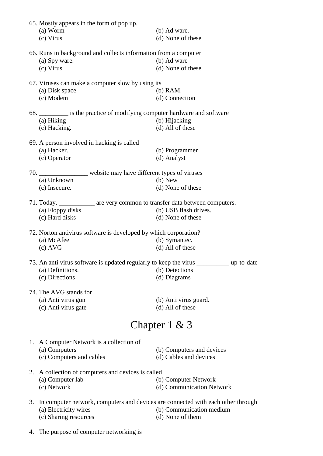| 65. Mostly appears in the form of pop up.<br>(a) Worm<br>(c) Virus                       | (b) Ad ware.<br>(d) None of these |  |  |  |
|------------------------------------------------------------------------------------------|-----------------------------------|--|--|--|
| 66. Runs in background and collects information from a computer                          |                                   |  |  |  |
| (a) Spy ware.                                                                            | (b) Ad ware                       |  |  |  |
| (c) Virus                                                                                | (d) None of these                 |  |  |  |
|                                                                                          |                                   |  |  |  |
| 67. Viruses can make a computer slow by using its                                        |                                   |  |  |  |
| (a) Disk space                                                                           | $(b)$ RAM.                        |  |  |  |
| (c) Modem                                                                                | (d) Connection                    |  |  |  |
| 68. ___________ is the practice of modifying computer hardware and software              |                                   |  |  |  |
| (a) Hiking                                                                               | (b) Hijacking                     |  |  |  |
| (c) Hacking.                                                                             | (d) All of these                  |  |  |  |
|                                                                                          |                                   |  |  |  |
| 69. A person involved in hacking is called                                               |                                   |  |  |  |
| (a) Hacker.                                                                              | (b) Programmer                    |  |  |  |
| (c) Operator                                                                             | (d) Analyst                       |  |  |  |
| 70. __________________ website may have different types of viruses                       |                                   |  |  |  |
| (a) Unknown                                                                              | $(b)$ New                         |  |  |  |
| (c) Insecure.                                                                            | (d) None of these                 |  |  |  |
|                                                                                          |                                   |  |  |  |
| 71. Today, _____________ are very common to transfer data between computers.             |                                   |  |  |  |
| (a) Floppy disks                                                                         | (b) USB flash drives.             |  |  |  |
| (c) Hard disks                                                                           | (d) None of these                 |  |  |  |
| 72. Norton antivirus software is developed by which corporation?                         |                                   |  |  |  |
| (a) McAfee                                                                               | (b) Symantec.                     |  |  |  |
| $(c)$ AVG                                                                                | (d) All of these                  |  |  |  |
|                                                                                          |                                   |  |  |  |
| 73. An anti virus software is updated regularly to keep the virus ___________ up-to-date |                                   |  |  |  |
| (a) Definitions.                                                                         | (b) Detections                    |  |  |  |
| (c) Directions                                                                           | (d) Diagrams                      |  |  |  |
| 74. The AVG stands for                                                                   |                                   |  |  |  |
| (a) Anti virus gun                                                                       | (b) Anti virus guard.             |  |  |  |
| (c) Anti virus gate                                                                      | (d) All of these                  |  |  |  |
|                                                                                          |                                   |  |  |  |
|                                                                                          | Chapter $1 \& 3$                  |  |  |  |
| 1. A Computer Network is a collection of                                                 |                                   |  |  |  |
| (a) Computers                                                                            | (b) Computers and devices         |  |  |  |
| (c) Computers and cables                                                                 | (d) Cables and devices            |  |  |  |
|                                                                                          |                                   |  |  |  |
| 2. A collection of computers and devices is called                                       |                                   |  |  |  |
| (a) Computer lab                                                                         | (b) Computer Network              |  |  |  |
| (c) Network                                                                              | (d) Communication Network         |  |  |  |
| 3. In computer network, computers and devices are connected with each other through      |                                   |  |  |  |
| (a) Electricity wires                                                                    | (b) Communication medium          |  |  |  |
| (c) Sharing resources                                                                    | (d) None of them                  |  |  |  |
|                                                                                          |                                   |  |  |  |

4. The purpose of computer networking is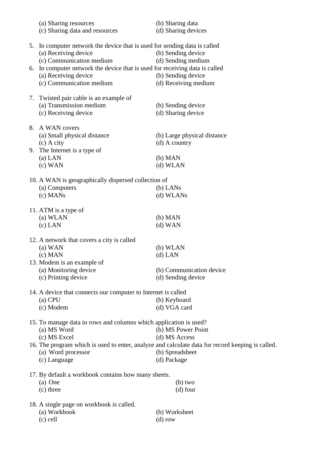|    | (a) Sharing resources<br>(c) Sharing data and resources                     | (b) Sharing data<br>(d) Sharing devices                                                          |
|----|-----------------------------------------------------------------------------|--------------------------------------------------------------------------------------------------|
| 5. | In computer network the device that is used for sending data is called      |                                                                                                  |
|    | (a) Receiving device                                                        | (b) Sending device                                                                               |
|    | (c) Communication medium                                                    | (d) Sending medium                                                                               |
|    | 6. In computer network the device that is used for receiving data is called |                                                                                                  |
|    | (a) Receiving device                                                        | (b) Sending device                                                                               |
|    | (c) Communication medium                                                    | (d) Receiving medium                                                                             |
| 7. | Twisted pair cable is an example of                                         |                                                                                                  |
|    | (a) Transmission medium                                                     | (b) Sending device                                                                               |
|    | (c) Receiving device                                                        | (d) Sharing device                                                                               |
| 8. | A WAN covers                                                                |                                                                                                  |
|    | (a) Small physical distance                                                 | (b) Large physical distance                                                                      |
|    | (c) A city                                                                  | $(d)$ A country                                                                                  |
| 9. | The Internet is a type of                                                   |                                                                                                  |
|    | $(a)$ LAN                                                                   | $(b)$ MAN                                                                                        |
|    | $(c)$ WAN                                                                   | (d) WLAN                                                                                         |
|    | 10. A WAN is geographically dispersed collection of                         |                                                                                                  |
|    | (a) Computers                                                               | $(b)$ LANs                                                                                       |
|    | (c) MANs                                                                    | (d) WLANs                                                                                        |
|    | 11. ATM is a type of                                                        |                                                                                                  |
|    | (a) WLAN                                                                    | $(b)$ MAN                                                                                        |
|    | $(c)$ LAN                                                                   | $(d)$ WAN                                                                                        |
|    | 12. A network that covers a city is called                                  |                                                                                                  |
|    | $(a)$ WAN                                                                   | (b) WLAN                                                                                         |
|    | $(c)$ MAN                                                                   | $(d)$ LAN                                                                                        |
|    | 13. Modem is an example of                                                  |                                                                                                  |
|    | (a) Monitoring device                                                       | (b) Communication device                                                                         |
|    | (c) Printing device                                                         | (d) Sending device                                                                               |
|    | 14. A device that connects our computer to Internet is called               |                                                                                                  |
|    | $(a)$ CPU                                                                   | (b) Keyboard                                                                                     |
|    | (c) Modem                                                                   | (d) VGA card                                                                                     |
|    | 15. To manage data in rows and columns which application is used?           |                                                                                                  |
|    | (a) MS Word                                                                 | (b) MS Power Point                                                                               |
|    | (c) MS Excel                                                                | (d) MS Access                                                                                    |
|    |                                                                             | 16. The program which is used to enter, analyze and calculate data for record keeping is called. |
|    | (a) Word processor                                                          | (b) Spreadsheet                                                                                  |
|    | (c) Language                                                                | (d) Package                                                                                      |
|    | 17. By default a workbook contains how many sheets.                         |                                                                                                  |
|    | (a) One                                                                     | $(b)$ two                                                                                        |
|    | (c) three                                                                   | $(d)$ four                                                                                       |
|    | 18. A single page on workbook is called.                                    |                                                                                                  |
|    | (a) Workbook                                                                | (b) Worksheet                                                                                    |
|    | $(c)$ cell                                                                  | $(d)$ row                                                                                        |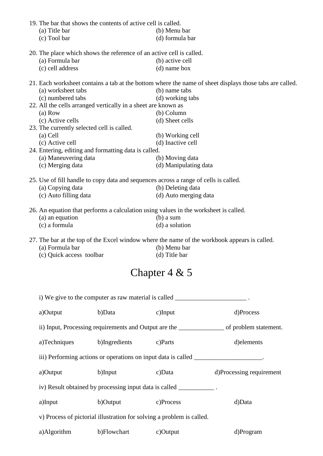| 19. The bar that shows the contents of active cell is called.<br>(a) Title bar<br>(c) Tool bar | (b) Menu bar<br>(d) formula bar                                                                         |  |  |
|------------------------------------------------------------------------------------------------|---------------------------------------------------------------------------------------------------------|--|--|
|                                                                                                |                                                                                                         |  |  |
| 20. The place which shows the reference of an active cell is called.                           |                                                                                                         |  |  |
| (a) Formula bar                                                                                | (b) active cell                                                                                         |  |  |
| (c) cell address                                                                               | $(d)$ name box                                                                                          |  |  |
|                                                                                                | 21. Each worksheet contains a tab at the bottom where the name of sheet displays those tabs are called. |  |  |
| (a) worksheet tabs                                                                             | (b) name tabs                                                                                           |  |  |
| (c) numbered tabs                                                                              | (d) working tabs                                                                                        |  |  |
| 22. All the cells arranged vertically in a sheet are known as                                  |                                                                                                         |  |  |
| (a) Row                                                                                        | (b) Column                                                                                              |  |  |
| (c) Active cells                                                                               | (d) Sheet cells                                                                                         |  |  |
| 23. The currently selected cell is called.                                                     |                                                                                                         |  |  |
| $(a)$ Cell                                                                                     | (b) Working cell                                                                                        |  |  |
| (c) Active cell                                                                                | (d) Inactive cell                                                                                       |  |  |
| 24. Entering, editing and formatting data is called.                                           |                                                                                                         |  |  |
| (a) Maneuvering data                                                                           | (b) Moving data                                                                                         |  |  |
| (c) Merging data                                                                               | (d) Manipulating data                                                                                   |  |  |
| 25. Use of fill handle to copy data and sequences across a range of cells is called.           |                                                                                                         |  |  |
| (a) Copying data                                                                               | (b) Deleting data                                                                                       |  |  |
| (c) Auto filling data                                                                          | (d) Auto merging data                                                                                   |  |  |
|                                                                                                |                                                                                                         |  |  |
| 26. An equation that performs a calculation using values in the worksheet is called.           |                                                                                                         |  |  |
| (a) an equation                                                                                | $(b)$ a sum                                                                                             |  |  |
| (c) a formula                                                                                  | (d) a solution                                                                                          |  |  |
|                                                                                                | 27. The bar at the top of the Excel window where the name of the workbook appears is called.            |  |  |
| (a) Formula bar                                                                                | (b) Menu bar                                                                                            |  |  |
| (c) Quick access toolbar                                                                       | (d) Title bar                                                                                           |  |  |
|                                                                                                |                                                                                                         |  |  |
|                                                                                                | Chapter $4 & 5$                                                                                         |  |  |

| i) We give to the computer as raw material is called ____________________. |                                    |                                                                                        |                          |  |  |
|----------------------------------------------------------------------------|------------------------------------|----------------------------------------------------------------------------------------|--------------------------|--|--|
| a)Output                                                                   | b)Data                             | $c)$ Input                                                                             | d)Process                |  |  |
|                                                                            |                                    |                                                                                        |                          |  |  |
|                                                                            | a)Techniques b)Ingredients c)Parts |                                                                                        | d) elements              |  |  |
|                                                                            |                                    | iii) Performing actions or operations on input data is called _______________________. |                          |  |  |
| a)Output                                                                   | b)Input                            | $c)$ Data                                                                              | d)Processing requirement |  |  |
| iv) Result obtained by processing input data is called ___________.        |                                    |                                                                                        |                          |  |  |
| a)Input                                                                    | b)Output                           | c)Process                                                                              | d)Data                   |  |  |
| v) Process of pictorial illustration for solving a problem is called.      |                                    |                                                                                        |                          |  |  |
| a)Algorithm                                                                | b)Flowchart                        | $c)$ Output                                                                            | d)Program                |  |  |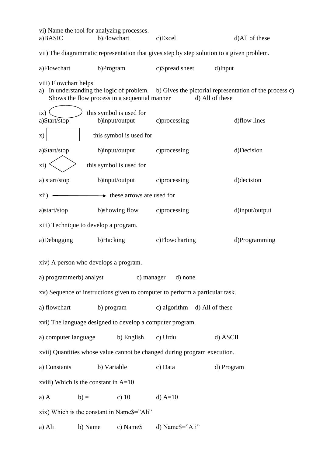| vi) Name the tool for analyzing processes.<br>a)BASIC                                     |                                               | b)Flowchart                               | c)Excel                                                                      | d)All of these                                                                                                    |  |
|-------------------------------------------------------------------------------------------|-----------------------------------------------|-------------------------------------------|------------------------------------------------------------------------------|-------------------------------------------------------------------------------------------------------------------|--|
| vii) The diagrammatic representation that gives step by step solution to a given problem. |                                               |                                           |                                                                              |                                                                                                                   |  |
| a)Flowchart                                                                               | b)Program                                     |                                           | c)Spread sheet                                                               | d)Input                                                                                                           |  |
| viii) Flowchart helps<br>a)                                                               | Shows the flow process in a sequential manner |                                           |                                                                              | In understanding the logic of problem. b) Gives the pictorial representation of the process c)<br>d) All of these |  |
| ix)<br>a)Start/stop                                                                       |                                               | this symbol is used for<br>b)input/output | c) processing                                                                | d)flow lines                                                                                                      |  |
| X)                                                                                        |                                               | this symbol is used for                   |                                                                              |                                                                                                                   |  |
| a)Start/stop                                                                              |                                               | b)input/output                            | c)processing                                                                 | d)Decision                                                                                                        |  |
| xi)                                                                                       |                                               | this symbol is used for                   |                                                                              |                                                                                                                   |  |
| a) start/stop                                                                             |                                               | b)input/output                            | c) processing                                                                | d) decision                                                                                                       |  |
| xii)                                                                                      |                                               | $\rightarrow$ these arrows are used for   |                                                                              |                                                                                                                   |  |
| a)start/stop                                                                              |                                               | b)showing flow                            | c) processing                                                                | d)input/output                                                                                                    |  |
| xiii) Technique to develop a program.                                                     |                                               |                                           |                                                                              |                                                                                                                   |  |
| a)Debugging                                                                               | b)Hacking                                     |                                           | c)Flowcharting                                                               | d)Programming                                                                                                     |  |
| xiv) A person who develops a program.                                                     |                                               |                                           |                                                                              |                                                                                                                   |  |
| a) programmerb) analyst                                                                   |                                               |                                           | c) manager<br>d) none                                                        |                                                                                                                   |  |
|                                                                                           |                                               |                                           | xv) Sequence of instructions given to computer to perform a particular task. |                                                                                                                   |  |
| a) flowchart                                                                              | b) program                                    |                                           | c) algorithm d) All of these                                                 |                                                                                                                   |  |
|                                                                                           |                                               |                                           | xvi) The language designed to develop a computer program.                    |                                                                                                                   |  |
| a) computer language                                                                      |                                               | b) English                                | c) Urdu                                                                      | d) ASCII                                                                                                          |  |
| xvii) Quantities whose value cannot be changed during program execution.                  |                                               |                                           |                                                                              |                                                                                                                   |  |
| a) Constants                                                                              | b) Variable                                   |                                           | c) Data                                                                      | d) Program                                                                                                        |  |
| xviii) Which is the constant in $A=10$                                                    |                                               |                                           |                                                                              |                                                                                                                   |  |
| $a)$ A                                                                                    | $b) =$                                        | c) $10$                                   | $d$ ) A=10                                                                   |                                                                                                                   |  |
| xix) Which is the constant in Name\$="Ali"                                                |                                               |                                           |                                                                              |                                                                                                                   |  |
| a) Ali                                                                                    | b) Name                                       | c) Name\$                                 | d) Name\$="Ali"                                                              |                                                                                                                   |  |